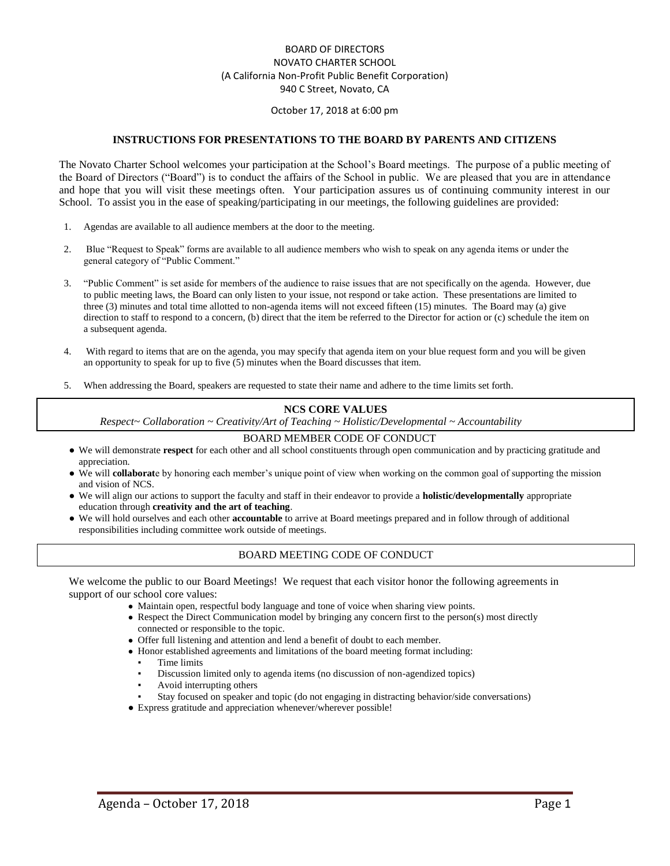### BOARD OF DIRECTORS NOVATO CHARTER SCHOOL (A California Non-Profit Public Benefit Corporation) 940 C Street, Novato, CA

#### October 17, 2018 at 6:00 pm

#### **INSTRUCTIONS FOR PRESENTATIONS TO THE BOARD BY PARENTS AND CITIZENS**

The Novato Charter School welcomes your participation at the School's Board meetings. The purpose of a public meeting of the Board of Directors ("Board") is to conduct the affairs of the School in public. We are pleased that you are in attendance and hope that you will visit these meetings often. Your participation assures us of continuing community interest in our School. To assist you in the ease of speaking/participating in our meetings, the following guidelines are provided:

- 1. Agendas are available to all audience members at the door to the meeting.
- 2. Blue "Request to Speak" forms are available to all audience members who wish to speak on any agenda items or under the general category of "Public Comment."
- 3. "Public Comment" is set aside for members of the audience to raise issues that are not specifically on the agenda. However, due to public meeting laws, the Board can only listen to your issue, not respond or take action. These presentations are limited to three (3) minutes and total time allotted to non-agenda items will not exceed fifteen (15) minutes. The Board may (a) give direction to staff to respond to a concern, (b) direct that the item be referred to the Director for action or (c) schedule the item on a subsequent agenda.
- 4. With regard to items that are on the agenda, you may specify that agenda item on your blue request form and you will be given an opportunity to speak for up to five (5) minutes when the Board discusses that item.
- 5. When addressing the Board, speakers are requested to state their name and adhere to the time limits set forth.

### **NCS CORE VALUES**

*Respect~ Collaboration ~ Creativity/Art of Teaching ~ Holistic/Developmental ~ Accountability*

#### BOARD MEMBER CODE OF CONDUCT

- We will demonstrate **respect** for each other and all school constituents through open communication and by practicing gratitude and appreciation.
- We will **collaborat**e by honoring each member's unique point of view when working on the common goal of supporting the mission and vision of NCS.
- We will align our actions to support the faculty and staff in their endeavor to provide a **holistic/developmentally** appropriate education through **creativity and the art of teaching**.
- We will hold ourselves and each other **accountable** to arrive at Board meetings prepared and in follow through of additional responsibilities including committee work outside of meetings.

#### BOARD MEETING CODE OF CONDUCT

We welcome the public to our Board Meetings! We request that each visitor honor the following agreements in support of our school core values:

- Maintain open, respectful body language and tone of voice when sharing view points.
- Respect the Direct Communication model by bringing any concern first to the person(s) most directly connected or responsible to the topic.
- Offer full listening and attention and lend a benefit of doubt to each member.
- Honor established agreements and limitations of the board meeting format including:
	- Time limits
	- Discussion limited only to agenda items (no discussion of non-agendized topics)
	- Avoid interrupting others
	- Stay focused on speaker and topic (do not engaging in distracting behavior/side conversations)
- Express gratitude and appreciation whenever/wherever possible!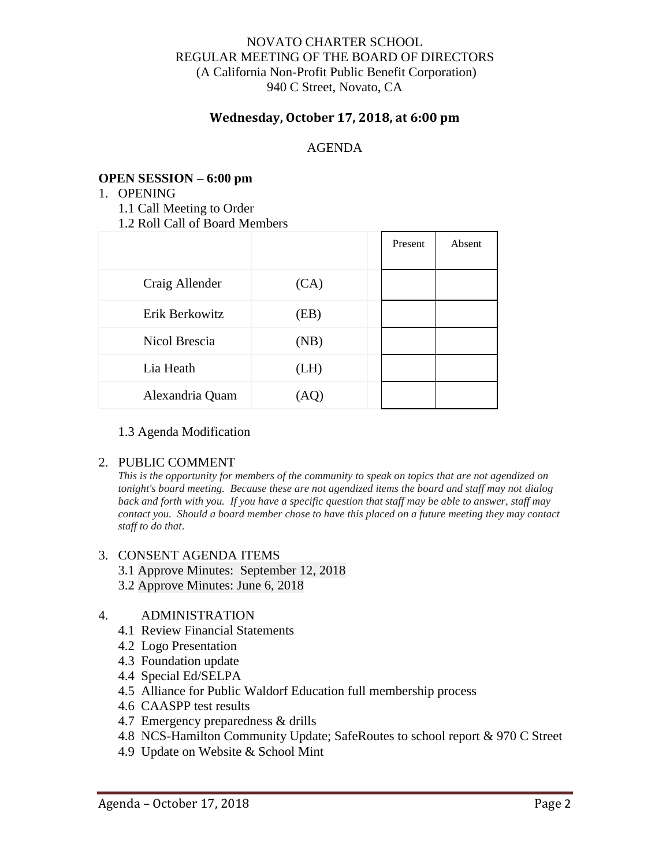## NOVATO CHARTER SCHOOL REGULAR MEETING OF THE BOARD OF DIRECTORS (A California Non-Profit Public Benefit Corporation) 940 C Street, Novato, CA

## **Wednesday, October 17, 2018, at 6:00 pm**

## AGENDA

## **OPEN SESSION – 6:00 pm**

- 1. OPENING
	- 1.1 Call Meeting to Order
	- 1.2 Roll Call of Board Members

|                 |      | Present | Absent |
|-----------------|------|---------|--------|
| Craig Allender  | (CA) |         |        |
| Erik Berkowitz  | (EB) |         |        |
| Nicol Brescia   | (NB) |         |        |
| Lia Heath       | (LH) |         |        |
| Alexandria Quam | (AQ) |         |        |

### 1.3 Agenda Modification

### 2. PUBLIC COMMENT

*This is the opportunity for members of the community to speak on topics that are not agendized on tonight's board meeting. Because these are not agendized items the board and staff may not dialog back and forth with you. If you have a specific question that staff may be able to answer, staff may contact you. Should a board member chose to have this placed on a future meeting they may contact staff to do that*.

### 3. CONSENT AGENDA ITEMS

- 3.1 Approve Minutes: September 12, 2018
- 3.2 Approve Minutes: June 6, 2018

### 4. ADMINISTRATION

- 4.1 Review Financial Statements
- 4.2 Logo Presentation
- 4.3 Foundation update
- 4.4 Special Ed/SELPA
- 4.5 Alliance for Public Waldorf Education full membership process
- 4.6 CAASPP test results
- 4.7 Emergency preparedness & drills
- 4.8 NCS-Hamilton Community Update; SafeRoutes to school report & 970 C Street
- 4.9 Update on Website & School Mint